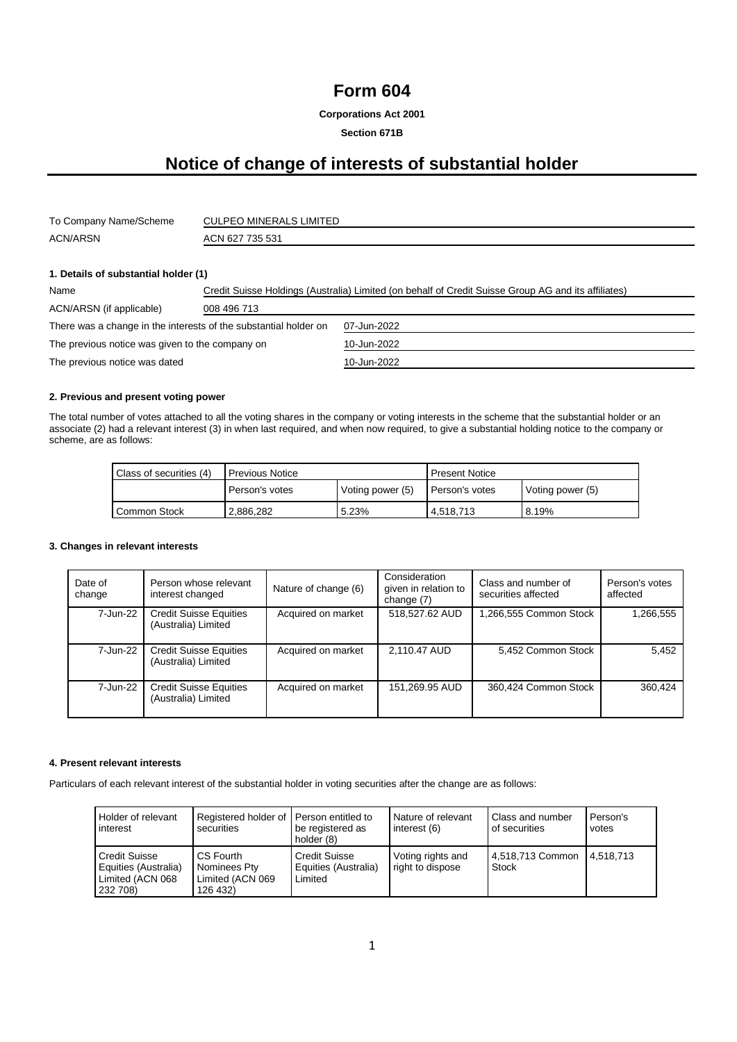# **Form 604**

**Corporations Act 2001**

## **Section 671B**

# **Notice of change of interests of substantial holder**

| To Company Name/Scheme | <b>CULPEO MINERALS LIMITED</b> |
|------------------------|--------------------------------|
| <b>ACN/ARSN</b>        | ACN 627 735 531                |

#### **1. Details of substantial holder (1)**

| Name                                                             | Credit Suisse Holdings (Australia) Limited (on behalf of Credit Suisse Group AG and its affiliates) |             |  |
|------------------------------------------------------------------|-----------------------------------------------------------------------------------------------------|-------------|--|
| ACN/ARSN (if applicable)                                         | 008 496 713                                                                                         |             |  |
| There was a change in the interests of the substantial holder on |                                                                                                     | 07-Jun-2022 |  |
| The previous notice was given to the company on                  |                                                                                                     | 10-Jun-2022 |  |
| The previous notice was dated                                    |                                                                                                     | 10-Jun-2022 |  |

#### **2. Previous and present voting power**

The total number of votes attached to all the voting shares in the company or voting interests in the scheme that the substantial holder or an associate (2) had a relevant interest (3) in when last required, and when now required, to give a substantial holding notice to the company or scheme, are as follows:

| Class of securities (4) | <b>Previous Notice</b> |                  | <b>Present Notice</b> |                  |
|-------------------------|------------------------|------------------|-----------------------|------------------|
|                         | Person's votes         | Voting power (5) | Person's votes        | Voting power (5) |
| Common Stock            | 2,886,282              | 5.23%            | 4,518,713             | 8.19%            |

#### **3. Changes in relevant interests**

| Date of<br>change | Person whose relevant<br>interest changed            | Nature of change (6) | Consideration<br>given in relation to<br>change (7) | Class and number of<br>securities affected | Person's votes<br>affected |
|-------------------|------------------------------------------------------|----------------------|-----------------------------------------------------|--------------------------------------------|----------------------------|
| 7-Jun-22          | <b>Credit Suisse Equities</b><br>(Australia) Limited | Acquired on market   | 518,527.62 AUD                                      | 1,266,555 Common Stock                     | 1,266,555                  |
| 7-Jun-22          | <b>Credit Suisse Equities</b><br>(Australia) Limited | Acquired on market   | 2,110.47 AUD                                        | 5,452 Common Stock                         | 5.452                      |
| 7-Jun-22          | <b>Credit Suisse Equities</b><br>(Australia) Limited | Acquired on market   | 151,269.95 AUD                                      | 360,424 Common Stock                       | 360.424                    |

#### **4. Present relevant interests**

Particulars of each relevant interest of the substantial holder in voting securities after the change are as follows:

| Holder of relevant                                                           | Registered holder of Person entitled to                   | be registered as                                        | Nature of relevant                    | Class and number                 | Person's  |
|------------------------------------------------------------------------------|-----------------------------------------------------------|---------------------------------------------------------|---------------------------------------|----------------------------------|-----------|
| interest                                                                     | securities                                                | holder (8)                                              | interest (6)                          | of securities                    | votes     |
| <b>Credit Suisse</b><br>Equities (Australia)<br>Limited (ACN 068<br>232 708) | CS Fourth<br>Nominees Pty<br>Limited (ACN 069<br>126 432) | <b>Credit Suisse</b><br>Equities (Australia)<br>Limited | Voting rights and<br>right to dispose | 4,518,713 Common<br><b>Stock</b> | 4.518.713 |